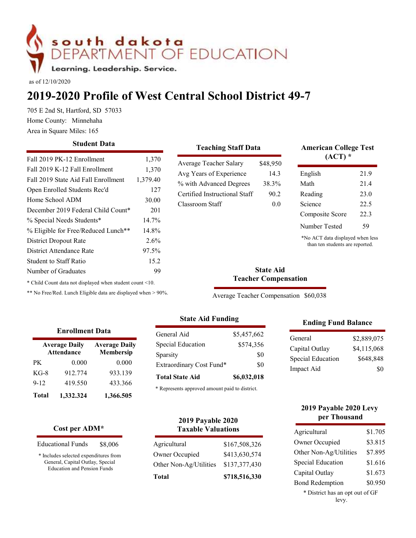# SOUTH dakota<br>
DEPARTMENT OF EDUCATION<br>
Learning. Leadership. Service.<br>
2019-2020 Profile of West Central School District<br>
705 E 2nd St, Hartford, SD 57033<br>
Home County: Minnehaha<br>
Area in Square Miles: 165<br>
Student Data<br>
F

# 2019-2020 Profile of West Central School District 49-7

| as of 12/10/2020         | 705 E 2nd St, Hartford, SD 57033<br>Home County: Minnehaha<br>Area in Square Miles: 165                                                                                                                                                                              | south dakota<br>Learning. Leadership. Service.                                                                            |                                                                                              | EPARTMENT OF EDUCATION<br>2019-2020 Profile of West Central School District 49-7                                                         |                                         |                                                 |                                                                                                                                                              |                                                |
|--------------------------|----------------------------------------------------------------------------------------------------------------------------------------------------------------------------------------------------------------------------------------------------------------------|---------------------------------------------------------------------------------------------------------------------------|----------------------------------------------------------------------------------------------|------------------------------------------------------------------------------------------------------------------------------------------|-----------------------------------------|-------------------------------------------------|--------------------------------------------------------------------------------------------------------------------------------------------------------------|------------------------------------------------|
|                          |                                                                                                                                                                                                                                                                      | <b>Student Data</b>                                                                                                       |                                                                                              | <b>Teaching Staff Data</b>                                                                                                               |                                         |                                                 | <b>American College Test</b>                                                                                                                                 |                                                |
| Home School ADM          | Fall 2019 PK-12 Enrollment<br>Fall 2019 K-12 Fall Enrollment<br>Fall 2019 State Aid Fall Enrollment<br>Open Enrolled Students Rec'd<br>% Special Needs Students*<br><b>District Dropout Rate</b><br><b>District Attendance Rate</b><br><b>Student to Staff Ratio</b> | December 2019 Federal Child Count*<br>% Eligible for Free/Reduced Lunch**                                                 | 1,370<br>1,370<br>1,379.40<br>127<br>30.00<br>201<br>14.7%<br>14.8%<br>2.6%<br>97.5%<br>15.2 | Average Teacher Salary<br>Avg Years of Experience<br>% with Advanced Degrees<br>Certified Instructional Staff<br>Classroom Staff         |                                         | \$48,950<br>14.3<br>38.3%<br>90.2<br>0.0        | $(ACT)*$<br>English<br>Math<br>Reading<br>Science<br>Composite Score<br>Number Tested<br>*No ACT data displayed when less<br>than ten students are reported. | 21.9<br>21.4<br>23.0<br>22.5<br>22.3<br>59     |
|                          | Number of Graduates                                                                                                                                                                                                                                                  |                                                                                                                           | 99                                                                                           |                                                                                                                                          |                                         | <b>State Aid</b><br><b>Teacher Compensation</b> |                                                                                                                                                              |                                                |
|                          |                                                                                                                                                                                                                                                                      | * Child Count data not displayed when student count <10.<br>** No Free/Red. Lunch Eligible data are displayed when > 90%. |                                                                                              | <b>State Aid Funding</b>                                                                                                                 |                                         |                                                 | Average Teacher Compensation \$60,038<br><b>Ending Fund Balance</b>                                                                                          |                                                |
| PK<br>$KG-8$<br>$9 - 12$ | <b>Enrollment Data</b><br><b>Average Daily</b><br><b>Attendance</b><br>0.000<br>912.774<br>419.550                                                                                                                                                                   | <b>Average Daily</b><br>Membersip<br>0.000<br>933.139<br>433.366                                                          | Sparsity                                                                                     | General Aid<br>Special Education<br>Extraordinary Cost Fund*<br><b>Total State Aid</b><br>* Represents approved amount paid to district. | \$5,457,662<br>\$574,356<br>\$6,032,018 | \$0<br>\$0                                      | General<br>Capital Outlay<br>Special Education<br>Impact Aid                                                                                                 | \$2,889,075<br>\$4,115,068<br>\$648,848<br>\$0 |
| <b>Total</b>             | 1,332.324<br>Cost per ADM*                                                                                                                                                                                                                                           | 1,366.505                                                                                                                 |                                                                                              | <b>2019 Payable 2020</b><br><b>Taxable Valuations</b>                                                                                    |                                         |                                                 | 2019 Payable 2020 Levy<br>per Thousand<br>Agricultural                                                                                                       | \$1.705                                        |

# **Student Data Student Data Teaching Staff Data**

### Teaching Staff Data American College Test  $(ACT)$  \*

|            | Trenage Teacher Danary                         |             | 40,700                                |                                                                     |             |
|------------|------------------------------------------------|-------------|---------------------------------------|---------------------------------------------------------------------|-------------|
| 370        | Avg Years of Experience                        |             | 14.3                                  | English                                                             | 21.9        |
| 0.40       | % with Advanced Degrees                        |             | 38.3%                                 | Math                                                                | 21.4        |
| 127        | Certified Instructional Staff                  |             | 90.2                                  | Reading                                                             | 23.0        |
| 0.00       | Classroom Staff                                |             | 0.0                                   | Science                                                             | 22.5        |
| 201        |                                                |             |                                       | Composite Score                                                     | 22.3        |
| .7%        |                                                |             |                                       | Number Tested                                                       | 59          |
| 8%         |                                                |             |                                       |                                                                     |             |
| $.6\%$     |                                                |             |                                       | *No ACT data displayed when less<br>than ten students are reported. |             |
| $.5\%$     |                                                |             |                                       |                                                                     |             |
| 5.2        |                                                |             |                                       |                                                                     |             |
| 99         |                                                |             | <b>State Aid</b>                      |                                                                     |             |
| 0.         |                                                |             | <b>Teacher Compensation</b>           |                                                                     |             |
| $> 90\%$ . |                                                |             | Average Teacher Compensation \$60,038 |                                                                     |             |
|            |                                                |             |                                       |                                                                     |             |
|            | <b>State Aid Funding</b>                       |             |                                       | <b>Ending Fund Balance</b>                                          |             |
|            | General Aid                                    | \$5,457,662 |                                       |                                                                     |             |
|            | Special Education                              | \$574,356   |                                       | General                                                             | \$2,889,075 |
| Sparsity   |                                                |             | \$0                                   | Capital Outlay                                                      | \$4,115,068 |
|            | Extraordinary Cost Fund*                       |             | \$0                                   | Special Education                                                   | \$648,848   |
|            | <b>Total State Aid</b>                         | \$6,032,018 |                                       | Impact Aid                                                          | \$0         |
|            |                                                |             |                                       |                                                                     |             |
|            | * Represents approved amount paid to district. |             |                                       |                                                                     |             |
|            |                                                |             |                                       |                                                                     |             |

|              | <b>Enrollment Data</b>                    |                                   | General Aid                   |
|--------------|-------------------------------------------|-----------------------------------|-------------------------------|
|              | <b>Average Daily</b><br><b>Attendance</b> | <b>Average Daily</b><br>Membersip | Special Education             |
|              |                                           |                                   | Sparsity                      |
| PК           | 0.000                                     | 0.000                             | <b>Extraordinary Cost Fur</b> |
| $KG-8$       | 912.774                                   | 933.139                           | <b>Total State Aid</b>        |
| $9 - 12$     | 419.550                                   | 433.366                           |                               |
| <b>Total</b> | 1,332.324                                 | 1,366.505                         | * Represents approved amou    |

### Cost per ADM\*

| <b>Educational Funds</b><br>\$8,006 | Agricultural |  |
|-------------------------------------|--------------|--|
|-------------------------------------|--------------|--|

\* Includes selected expenditures from General, Capital Outlay, Special Education and Pension Funds

### State Aid Funding

| ata)         | General Aid              | \$5,457,662 | General           | \$2,889 |
|--------------|--------------------------|-------------|-------------------|---------|
| verage Daily | Special Education        | \$574,356   | Capital Outlay    | \$4,115 |
| Membersip    | Sparsity                 | \$0         | Special Education | \$648   |
| 0.000        | Extraordinary Cost Fund* | \$0         | Impact Aid        |         |
| 933.139      | <b>Total State Aid</b>   | \$6,032,018 |                   |         |
| 12226        |                          |             |                   |         |

### 2019 Payable 2020 Taxable Valuations

| Agricultural                             | \$167,508,326                  | Owner Occupied                                               |
|------------------------------------------|--------------------------------|--------------------------------------------------------------|
| Owner Occupied<br>Other Non-Ag/Utilities | \$413,630,574<br>\$137,377,430 | $\mathcal{S}$<br>Other Non-Ag/Utilities<br>Special Education |
| <b>Total</b>                             | \$718,516,330                  | Capital Outlay<br>£<br>$\mathbf{n}$ in the $\mathbf{r}$<br>đ |

### Ending Fund Balance

| \$5,457,662 | General           | \$2,889,075 |
|-------------|-------------------|-------------|
| \$574,356   | Capital Outlay    | \$4,115,068 |
| \$0         | Special Education | \$648,848   |
| \$0         | Impact Aid        | \$0         |

### 2019 Payable 2020 Levy per Thousand

| <b>State Aid Funding</b>                                                                           |                                                       | <b>Ending Fund Balance</b>                                         |                                                |
|----------------------------------------------------------------------------------------------------|-------------------------------------------------------|--------------------------------------------------------------------|------------------------------------------------|
| General Aid<br>Special Education<br>Sparsity<br>Extraordinary Cost Fund*<br><b>Total State Aid</b> | \$5,457,662<br>\$574,356<br>\$0<br>\$0<br>\$6,032,018 | General<br>Capital Outlay<br>Special Education<br>Impact Aid       | \$2,889,075<br>\$4,115,068<br>\$648,848<br>\$0 |
| * Represents approved amount paid to district.                                                     |                                                       | 2019 Payable 2020 Levy<br>per Thousand                             |                                                |
| <b>2019 Payable 2020</b><br><b>Taxable Valuations</b>                                              |                                                       | Agricultural                                                       | \$1.705                                        |
| Agricultural                                                                                       | \$167,508,326                                         | Owner Occupied                                                     | \$3.815                                        |
| Owner Occupied                                                                                     | \$413,630,574                                         | Other Non-Ag/Utilities                                             | \$7.895                                        |
| Other Non-Ag/Utilities                                                                             | \$137,377,430                                         | Special Education                                                  | \$1.616                                        |
| Total                                                                                              | \$718,516,330                                         | Capital Outlay                                                     | \$1.673                                        |
|                                                                                                    |                                                       | <b>Bond Redemption</b><br>* District has an opt out of GF<br>levy. | \$0.950                                        |